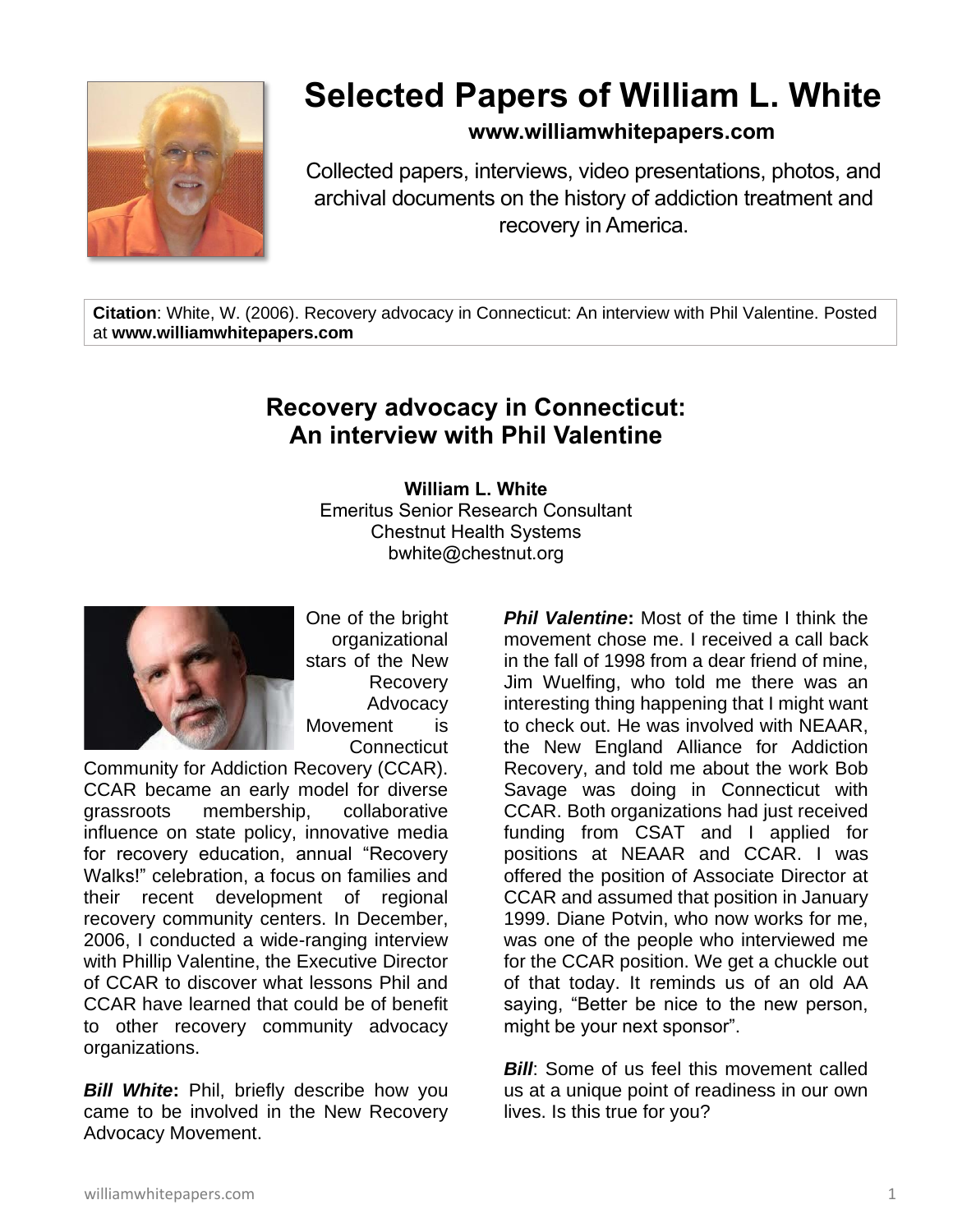

# **Selected Papers of William L. White**

## **www.williamwhitepapers.com**

Collected papers, interviews, video presentations, photos, and archival documents on the history of addiction treatment and recovery in America.

**Citation**: White, W. (2006). Recovery advocacy in Connecticut: An interview with Phil Valentine. Posted at **www.williamwhitepapers.com**

## **Recovery advocacy in Connecticut: An interview with Phil Valentine**

**William L. White** Emeritus Senior Research Consultant Chestnut Health Systems bwhite@chestnut.org



One of the bright organizational stars of the New Recovery Advocacy Movement is **Connecticut** 

Community for Addiction Recovery (CCAR). CCAR became an early model for diverse grassroots membership, collaborative influence on state policy, innovative media for recovery education, annual "Recovery Walks!" celebration, a focus on families and their recent development of regional recovery community centers. In December, 2006, I conducted a wide-ranging interview with Phillip Valentine, the Executive Director of CCAR to discover what lessons Phil and CCAR have learned that could be of benefit to other recovery community advocacy organizations.

*Bill White***:** Phil, briefly describe how you came to be involved in the New Recovery Advocacy Movement.

**Phil Valentine:** Most of the time I think the movement chose me. I received a call back in the fall of 1998 from a dear friend of mine, Jim Wuelfing, who told me there was an interesting thing happening that I might want to check out. He was involved with NEAAR, the New England Alliance for Addiction Recovery, and told me about the work Bob Savage was doing in Connecticut with CCAR. Both organizations had just received funding from CSAT and I applied for positions at NEAAR and CCAR. I was offered the position of Associate Director at CCAR and assumed that position in January 1999. Diane Potvin, who now works for me, was one of the people who interviewed me for the CCAR position. We get a chuckle out of that today. It reminds us of an old AA saying, "Better be nice to the new person, might be your next sponsor".

**Bill:** Some of us feel this movement called us at a unique point of readiness in our own lives. Is this true for you?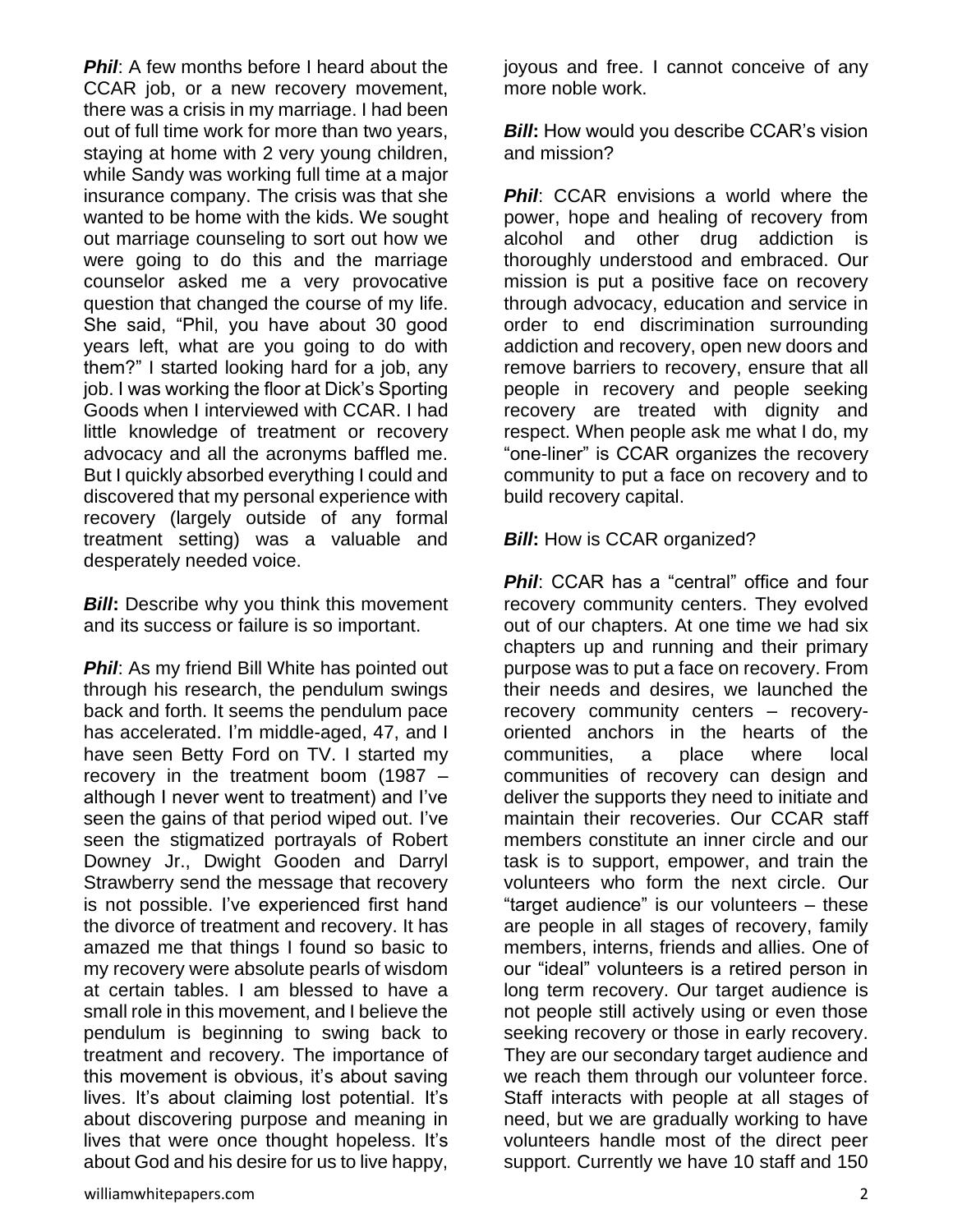**Phil:** A few months before I heard about the CCAR job, or a new recovery movement, there was a crisis in my marriage. I had been out of full time work for more than two years, staying at home with 2 very young children, while Sandy was working full time at a major insurance company. The crisis was that she wanted to be home with the kids. We sought out marriage counseling to sort out how we were going to do this and the marriage counselor asked me a very provocative question that changed the course of my life. She said, "Phil, you have about 30 good years left, what are you going to do with them?" I started looking hard for a job, any job. I was working the floor at Dick's Sporting Goods when I interviewed with CCAR. I had little knowledge of treatment or recovery advocacy and all the acronyms baffled me. But I quickly absorbed everything I could and discovered that my personal experience with recovery (largely outside of any formal treatment setting) was a valuable and desperately needed voice.

*Bill*: Describe why you think this movement and its success or failure is so important.

**Phil:** As my friend Bill White has pointed out through his research, the pendulum swings back and forth. It seems the pendulum pace has accelerated. I'm middle-aged, 47, and I have seen Betty Ford on TV. I started my recovery in the treatment boom (1987 – although I never went to treatment) and I've seen the gains of that period wiped out. I've seen the stigmatized portrayals of Robert Downey Jr., Dwight Gooden and Darryl Strawberry send the message that recovery is not possible. I've experienced first hand the divorce of treatment and recovery. It has amazed me that things I found so basic to my recovery were absolute pearls of wisdom at certain tables. I am blessed to have a small role in this movement, and I believe the pendulum is beginning to swing back to treatment and recovery. The importance of this movement is obvious, it's about saving lives. It's about claiming lost potential. It's about discovering purpose and meaning in lives that were once thought hopeless. It's about God and his desire for us to live happy,

joyous and free. I cannot conceive of any more noble work.

*Bill*: How would you describe CCAR's vision and mission?

**Phil:** CCAR envisions a world where the power, hope and healing of recovery from alcohol and other drug addiction is thoroughly understood and embraced. Our mission is put a positive face on recovery through advocacy, education and service in order to end discrimination surrounding addiction and recovery, open new doors and remove barriers to recovery, ensure that all people in recovery and people seeking recovery are treated with dignity and respect. When people ask me what I do, my "one-liner" is CCAR organizes the recovery community to put a face on recovery and to build recovery capital.

#### **Bill:** How is CCAR organized?

**Phil:** CCAR has a "central" office and four recovery community centers. They evolved out of our chapters. At one time we had six chapters up and running and their primary purpose was to put a face on recovery. From their needs and desires, we launched the recovery community centers – recoveryoriented anchors in the hearts of the communities, a place where local communities of recovery can design and deliver the supports they need to initiate and maintain their recoveries. Our CCAR staff members constitute an inner circle and our task is to support, empower, and train the volunteers who form the next circle. Our "target audience" is our volunteers – these are people in all stages of recovery, family members, interns, friends and allies. One of our "ideal" volunteers is a retired person in long term recovery. Our target audience is not people still actively using or even those seeking recovery or those in early recovery. They are our secondary target audience and we reach them through our volunteer force. Staff interacts with people at all stages of need, but we are gradually working to have volunteers handle most of the direct peer support. Currently we have 10 staff and 150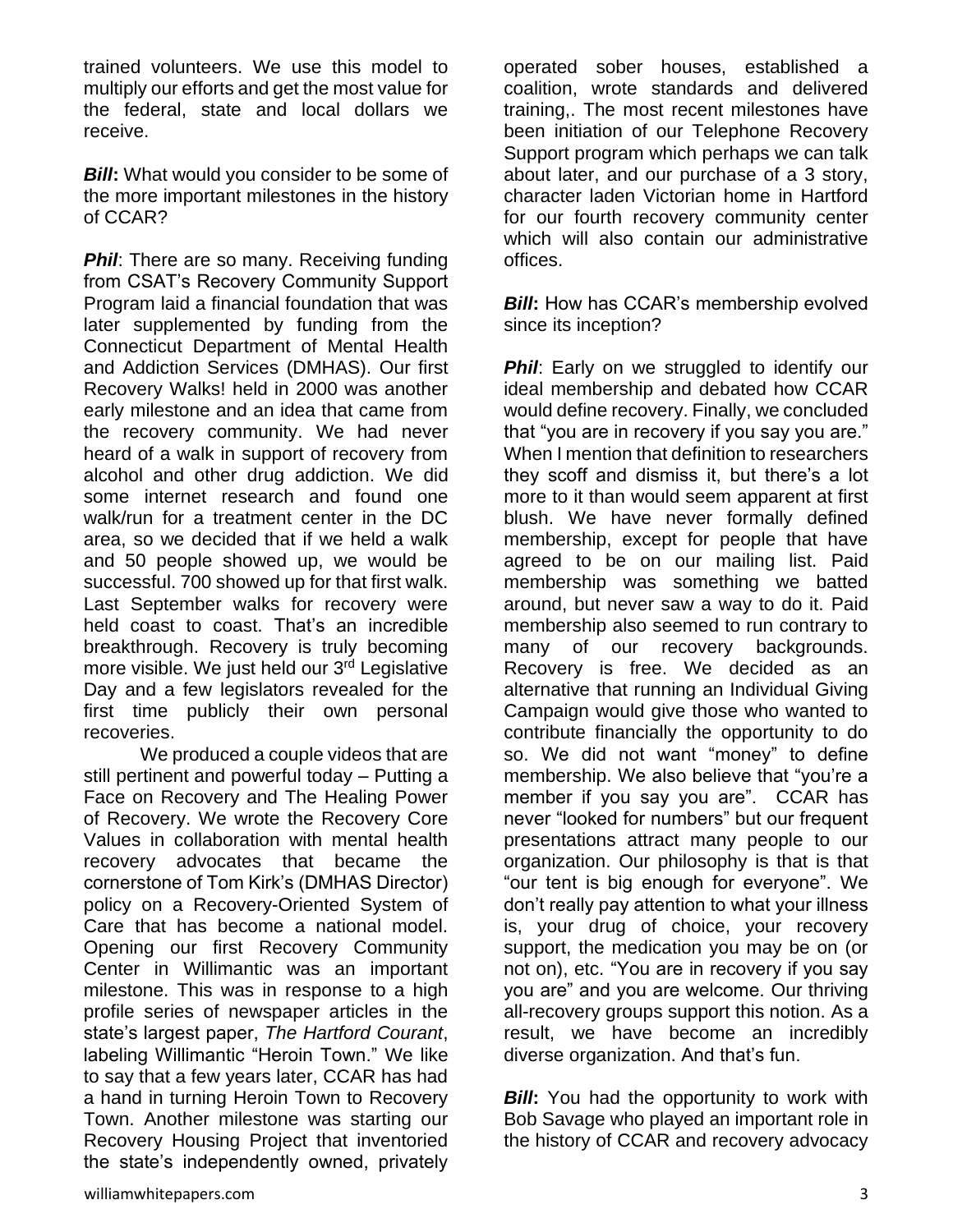trained volunteers. We use this model to multiply our efforts and get the most value for the federal, state and local dollars we receive.

**Bill:** What would you consider to be some of the more important milestones in the history of CCAR?

**Phil:** There are so many. Receiving funding from CSAT's Recovery Community Support Program laid a financial foundation that was later supplemented by funding from the Connecticut Department of Mental Health and Addiction Services (DMHAS). Our first Recovery Walks! held in 2000 was another early milestone and an idea that came from the recovery community. We had never heard of a walk in support of recovery from alcohol and other drug addiction. We did some internet research and found one walk/run for a treatment center in the DC area, so we decided that if we held a walk and 50 people showed up, we would be successful. 700 showed up for that first walk. Last September walks for recovery were held coast to coast. That's an incredible breakthrough. Recovery is truly becoming more visible. We just held our 3<sup>rd</sup> Legislative Day and a few legislators revealed for the first time publicly their own personal recoveries.

We produced a couple videos that are still pertinent and powerful today – Putting a Face on Recovery and The Healing Power of Recovery. We wrote the Recovery Core Values in collaboration with mental health recovery advocates that became the cornerstone of Tom Kirk's (DMHAS Director) policy on a Recovery-Oriented System of Care that has become a national model. Opening our first Recovery Community Center in Willimantic was an important milestone. This was in response to a high profile series of newspaper articles in the state's largest paper, *The Hartford Courant*, labeling Willimantic "Heroin Town." We like to say that a few years later, CCAR has had a hand in turning Heroin Town to Recovery Town. Another milestone was starting our Recovery Housing Project that inventoried the state's independently owned, privately

operated sober houses, established a coalition, wrote standards and delivered training,. The most recent milestones have been initiation of our Telephone Recovery Support program which perhaps we can talk about later, and our purchase of a 3 story, character laden Victorian home in Hartford for our fourth recovery community center which will also contain our administrative offices.

*Bill*: How has CCAR's membership evolved since its inception?

**Phil**: Early on we struggled to identify our ideal membership and debated how CCAR would define recovery. Finally, we concluded that "you are in recovery if you say you are." When I mention that definition to researchers they scoff and dismiss it, but there's a lot more to it than would seem apparent at first blush. We have never formally defined membership, except for people that have agreed to be on our mailing list. Paid membership was something we batted around, but never saw a way to do it. Paid membership also seemed to run contrary to many of our recovery backgrounds. Recovery is free. We decided as an alternative that running an Individual Giving Campaign would give those who wanted to contribute financially the opportunity to do so. We did not want "money" to define membership. We also believe that "you're a member if you say you are". CCAR has never "looked for numbers" but our frequent presentations attract many people to our organization. Our philosophy is that is that "our tent is big enough for everyone". We don't really pay attention to what your illness is, your drug of choice, your recovery support, the medication you may be on (or not on), etc. "You are in recovery if you say you are" and you are welcome. Our thriving all-recovery groups support this notion. As a result, we have become an incredibly diverse organization. And that's fun.

*Bill***:** You had the opportunity to work with Bob Savage who played an important role in the history of CCAR and recovery advocacy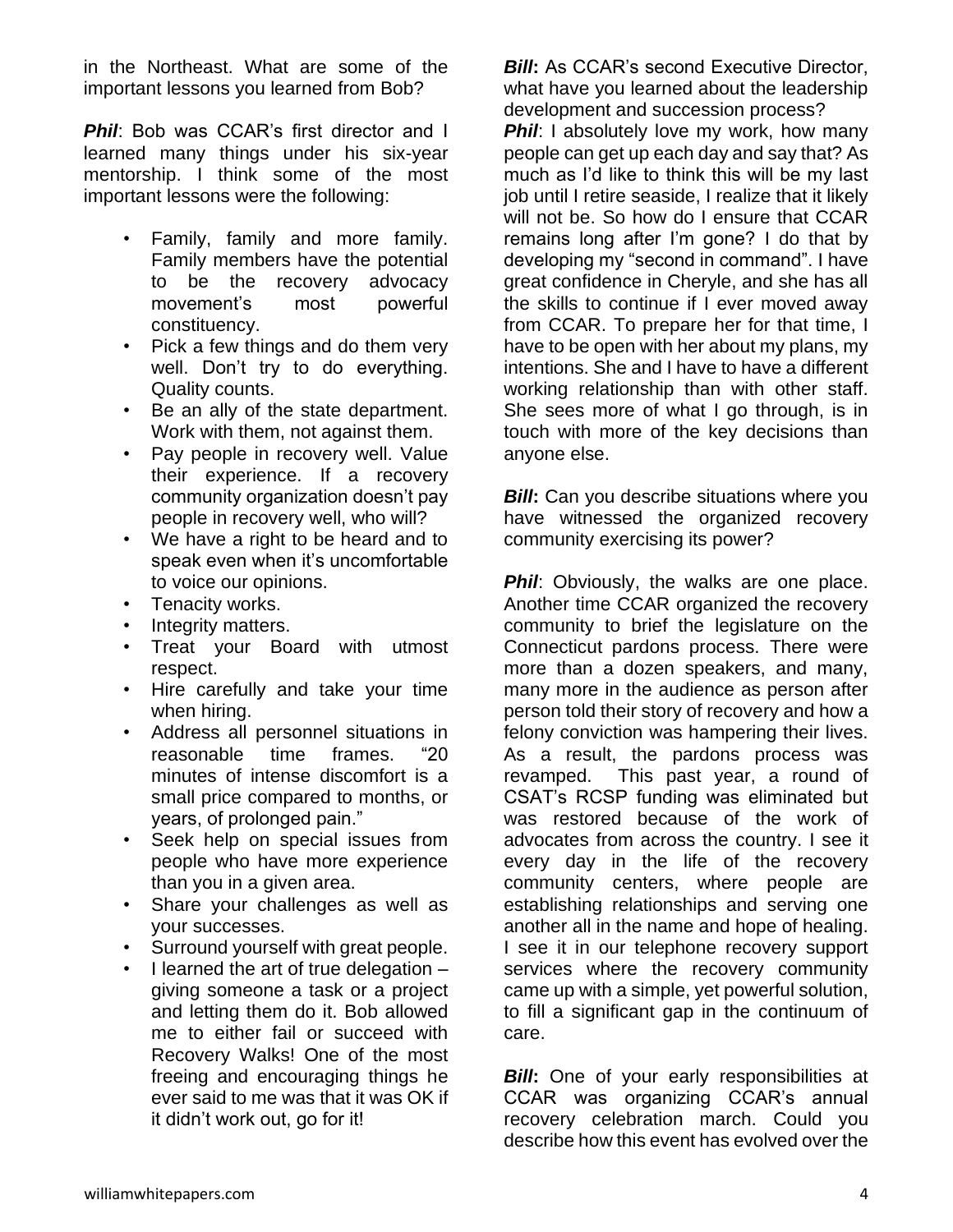in the Northeast. What are some of the important lessons you learned from Bob?

**Phil:** Bob was CCAR's first director and I learned many things under his six-year mentorship. I think some of the most important lessons were the following:

- Family, family and more family. Family members have the potential to be the recovery advocacy movement's most powerful constituency.
- Pick a few things and do them very well. Don't try to do everything. Quality counts.
- Be an ally of the state department. Work with them, not against them.
- Pay people in recovery well. Value their experience. If a recovery community organization doesn't pay people in recovery well, who will?
- We have a right to be heard and to speak even when it's uncomfortable to voice our opinions.
- Tenacity works.
- Integrity matters.
- Treat your Board with utmost respect.
- Hire carefully and take your time when hiring.
- Address all personnel situations in reasonable time frames. "20 minutes of intense discomfort is a small price compared to months, or years, of prolonged pain."
- Seek help on special issues from people who have more experience than you in a given area.
- Share your challenges as well as your successes.
- Surround yourself with great people.
- I learned the art of true delegation  $$ giving someone a task or a project and letting them do it. Bob allowed me to either fail or succeed with Recovery Walks! One of the most freeing and encouraging things he ever said to me was that it was OK if it didn't work out, go for it!

*Bill*: As CCAR's second Executive Director, what have you learned about the leadership development and succession process?

**Phil:** I absolutely love my work, how many people can get up each day and say that? As much as I'd like to think this will be my last job until I retire seaside, I realize that it likely will not be. So how do I ensure that CCAR remains long after I'm gone? I do that by developing my "second in command". I have great confidence in Cheryle, and she has all the skills to continue if I ever moved away from CCAR. To prepare her for that time, I have to be open with her about my plans, my intentions. She and I have to have a different working relationship than with other staff. She sees more of what I go through, is in touch with more of the key decisions than anyone else.

*Bill*: Can you describe situations where you have witnessed the organized recovery community exercising its power?

**Phil:** Obviously, the walks are one place. Another time CCAR organized the recovery community to brief the legislature on the Connecticut pardons process. There were more than a dozen speakers, and many, many more in the audience as person after person told their story of recovery and how a felony conviction was hampering their lives. As a result, the pardons process was revamped. This past year, a round of CSAT's RCSP funding was eliminated but was restored because of the work of advocates from across the country. I see it every day in the life of the recovery community centers, where people are establishing relationships and serving one another all in the name and hope of healing. I see it in our telephone recovery support services where the recovery community came up with a simple, yet powerful solution, to fill a significant gap in the continuum of care.

**Bill:** One of your early responsibilities at CCAR was organizing CCAR's annual recovery celebration march. Could you describe how this event has evolved over the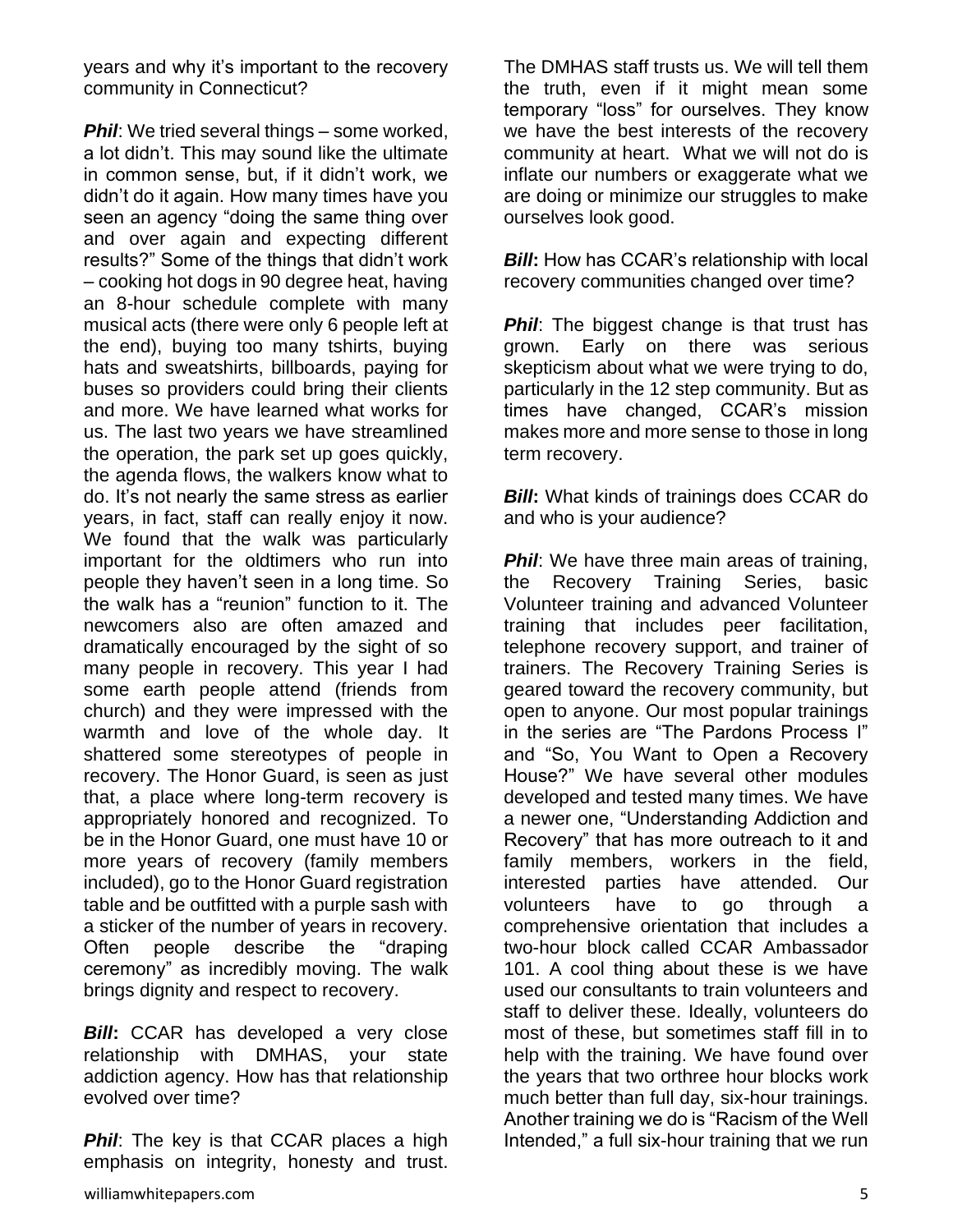years and why it's important to the recovery community in Connecticut?

**Phil:** We tried several things – some worked, a lot didn't. This may sound like the ultimate in common sense, but, if it didn't work, we didn't do it again. How many times have you seen an agency "doing the same thing over and over again and expecting different results?" Some of the things that didn't work – cooking hot dogs in 90 degree heat, having an 8-hour schedule complete with many musical acts (there were only 6 people left at the end), buying too many tshirts, buying hats and sweatshirts, billboards, paying for buses so providers could bring their clients and more. We have learned what works for us. The last two years we have streamlined the operation, the park set up goes quickly, the agenda flows, the walkers know what to do. It's not nearly the same stress as earlier years, in fact, staff can really enjoy it now. We found that the walk was particularly important for the oldtimers who run into people they haven't seen in a long time. So the walk has a "reunion" function to it. The newcomers also are often amazed and dramatically encouraged by the sight of so many people in recovery. This year I had some earth people attend (friends from church) and they were impressed with the warmth and love of the whole day. It shattered some stereotypes of people in recovery. The Honor Guard, is seen as just that, a place where long-term recovery is appropriately honored and recognized. To be in the Honor Guard, one must have 10 or more years of recovery (family members included), go to the Honor Guard registration table and be outfitted with a purple sash with a sticker of the number of years in recovery. Often people describe the "draping ceremony" as incredibly moving. The walk brings dignity and respect to recovery.

*Bill***:** CCAR has developed a very close relationship with DMHAS, your state addiction agency. How has that relationship evolved over time?

**Phil**: The key is that CCAR places a high emphasis on integrity, honesty and trust.

The DMHAS staff trusts us. We will tell them the truth, even if it might mean some temporary "loss" for ourselves. They know we have the best interests of the recovery community at heart. What we will not do is inflate our numbers or exaggerate what we are doing or minimize our struggles to make ourselves look good.

*Bill*: How has CCAR's relationship with local recovery communities changed over time?

**Phil**: The biggest change is that trust has grown. Early on there was serious skepticism about what we were trying to do, particularly in the 12 step community. But as times have changed, CCAR's mission makes more and more sense to those in long term recovery.

**Bill:** What kinds of trainings does CCAR do and who is your audience?

**Phil:** We have three main areas of training, the Recovery Training Series, basic Volunteer training and advanced Volunteer training that includes peer facilitation, telephone recovery support, and trainer of trainers. The Recovery Training Series is geared toward the recovery community, but open to anyone. Our most popular trainings in the series are "The Pardons Process I" and "So, You Want to Open a Recovery House?" We have several other modules developed and tested many times. We have a newer one, "Understanding Addiction and Recovery" that has more outreach to it and family members, workers in the field, interested parties have attended. Our volunteers have to go through a comprehensive orientation that includes a two-hour block called CCAR Ambassador 101. A cool thing about these is we have used our consultants to train volunteers and staff to deliver these. Ideally, volunteers do most of these, but sometimes staff fill in to help with the training. We have found over the years that two orthree hour blocks work much better than full day, six-hour trainings. Another training we do is "Racism of the Well Intended," a full six-hour training that we run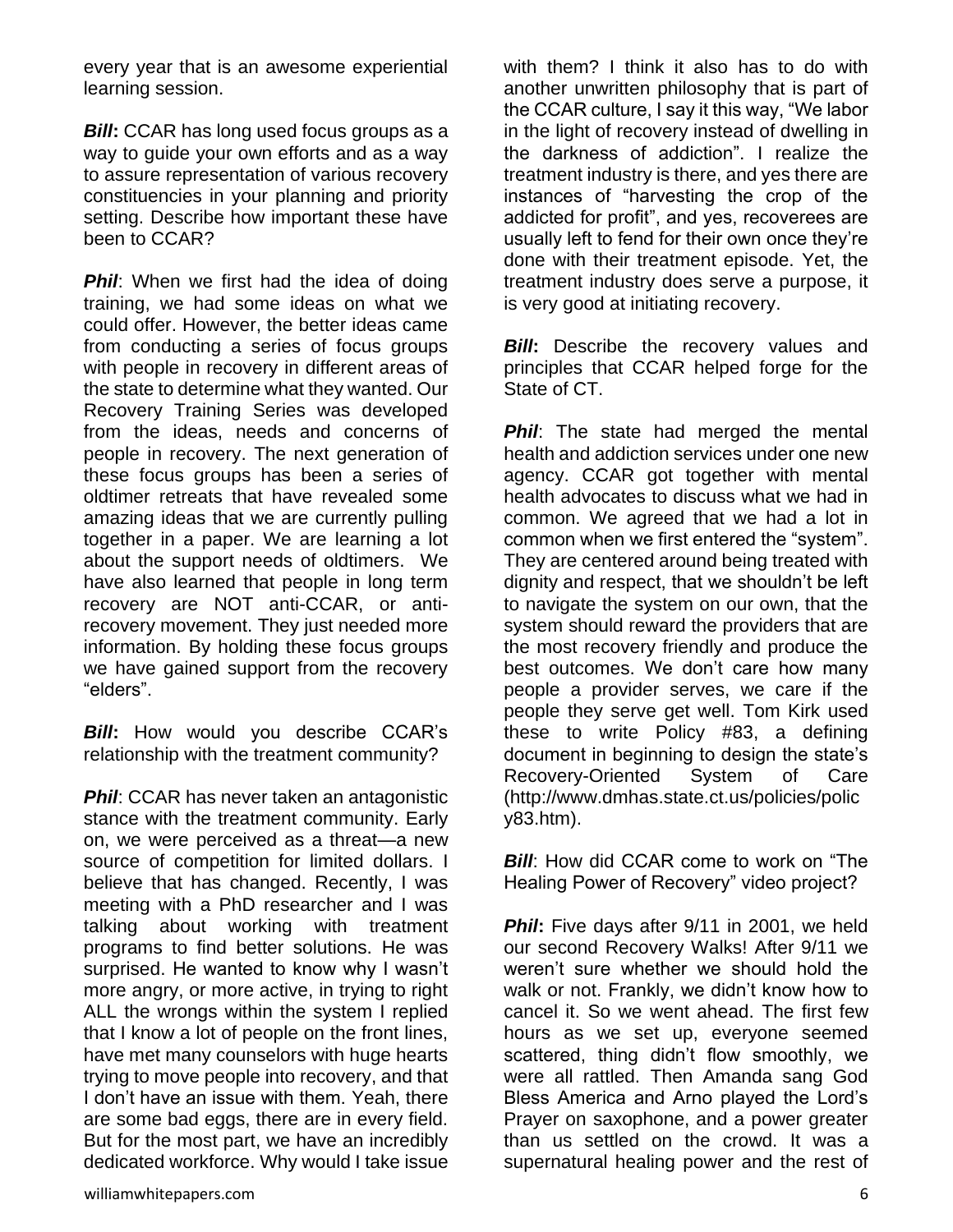every year that is an awesome experiential learning session.

*Bill*: CCAR has long used focus groups as a way to guide your own efforts and as a way to assure representation of various recovery constituencies in your planning and priority setting. Describe how important these have been to CCAR?

**Phil:** When we first had the idea of doing training, we had some ideas on what we could offer. However, the better ideas came from conducting a series of focus groups with people in recovery in different areas of the state to determine what they wanted. Our Recovery Training Series was developed from the ideas, needs and concerns of people in recovery. The next generation of these focus groups has been a series of oldtimer retreats that have revealed some amazing ideas that we are currently pulling together in a paper. We are learning a lot about the support needs of oldtimers. We have also learned that people in long term recovery are NOT anti-CCAR, or antirecovery movement. They just needed more information. By holding these focus groups we have gained support from the recovery "elders".

*Bill***:** How would you describe CCAR's relationship with the treatment community?

**Phil:** CCAR has never taken an antagonistic stance with the treatment community. Early on, we were perceived as a threat—a new source of competition for limited dollars. I believe that has changed. Recently, I was meeting with a PhD researcher and I was talking about working with treatment programs to find better solutions. He was surprised. He wanted to know why I wasn't more angry, or more active, in trying to right ALL the wrongs within the system I replied that I know a lot of people on the front lines, have met many counselors with huge hearts trying to move people into recovery, and that I don't have an issue with them. Yeah, there are some bad eggs, there are in every field. But for the most part, we have an incredibly dedicated workforce. Why would I take issue

with them? I think it also has to do with another unwritten philosophy that is part of the CCAR culture, I say it this way, "We labor in the light of recovery instead of dwelling in the darkness of addiction". I realize the treatment industry is there, and yes there are instances of "harvesting the crop of the addicted for profit", and yes, recoverees are usually left to fend for their own once they're done with their treatment episode. Yet, the treatment industry does serve a purpose, it is very good at initiating recovery.

**Bill:** Describe the recovery values and principles that CCAR helped forge for the State of CT.

**Phil**: The state had merged the mental health and addiction services under one new agency. CCAR got together with mental health advocates to discuss what we had in common. We agreed that we had a lot in common when we first entered the "system". They are centered around being treated with dignity and respect, that we shouldn't be left to navigate the system on our own, that the system should reward the providers that are the most recovery friendly and produce the best outcomes. We don't care how many people a provider serves, we care if the people they serve get well. Tom Kirk used these to write Policy #83, a defining document in beginning to design the state's Recovery-Oriented System of Care (http://www.dmhas.state.ct.us/policies/polic y83.htm).

*Bill*: How did CCAR come to work on "The Healing Power of Recovery" video project?

**Phil**: Five days after 9/11 in 2001, we held our second Recovery Walks! After 9/11 we weren't sure whether we should hold the walk or not. Frankly, we didn't know how to cancel it. So we went ahead. The first few hours as we set up, everyone seemed scattered, thing didn't flow smoothly, we were all rattled. Then Amanda sang God Bless America and Arno played the Lord's Prayer on saxophone, and a power greater than us settled on the crowd. It was a supernatural healing power and the rest of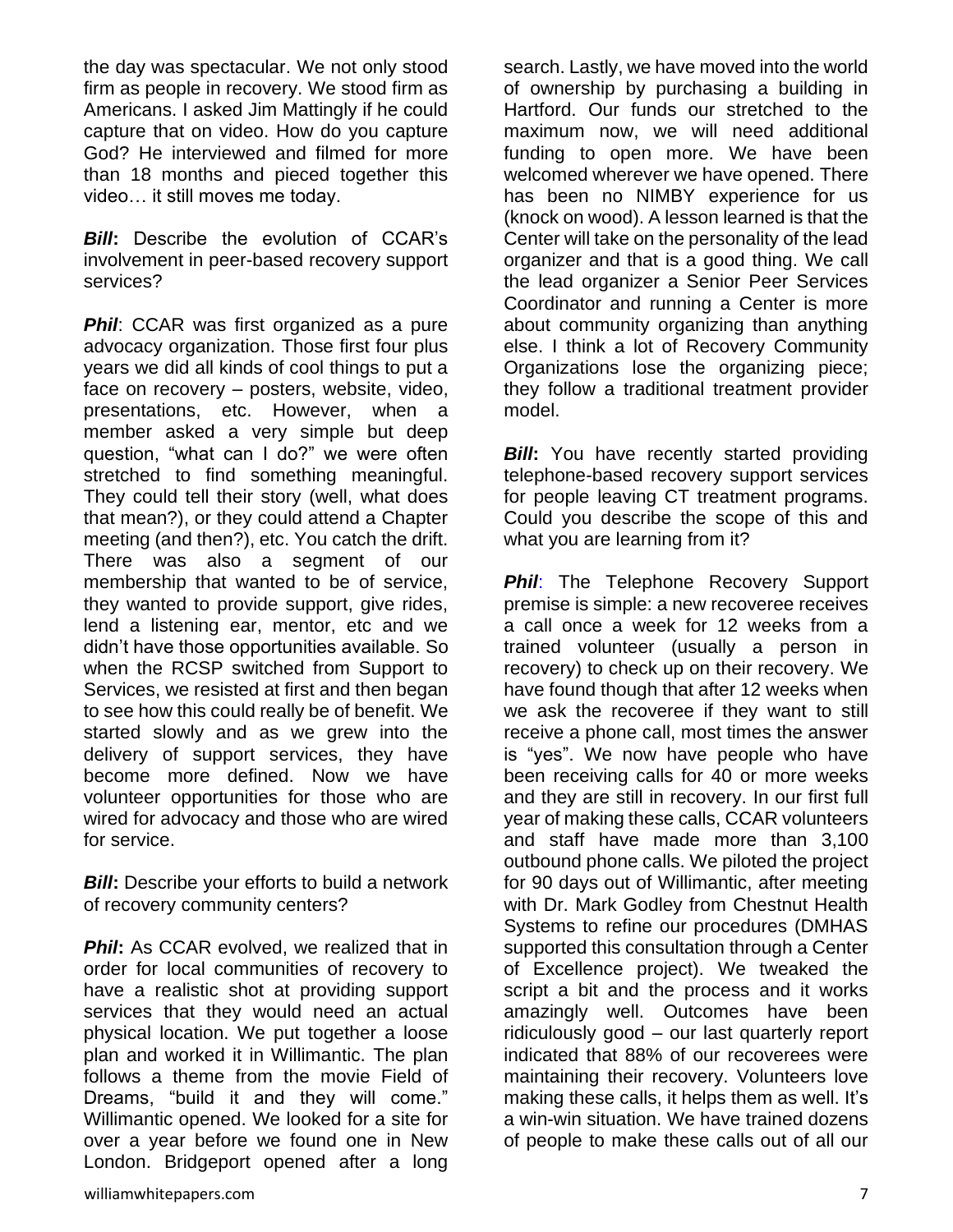the day was spectacular. We not only stood firm as people in recovery. We stood firm as Americans. I asked Jim Mattingly if he could capture that on video. How do you capture God? He interviewed and filmed for more than 18 months and pieced together this video… it still moves me today.

*Bill*: Describe the evolution of CCAR's involvement in peer-based recovery support services?

**Phil:** CCAR was first organized as a pure advocacy organization. Those first four plus years we did all kinds of cool things to put a face on recovery – posters, website, video, presentations, etc. However, when a member asked a very simple but deep question, "what can I do?" we were often stretched to find something meaningful. They could tell their story (well, what does that mean?), or they could attend a Chapter meeting (and then?), etc. You catch the drift. There was also a segment of our membership that wanted to be of service, they wanted to provide support, give rides, lend a listening ear, mentor, etc and we didn't have those opportunities available. So when the RCSP switched from Support to Services, we resisted at first and then began to see how this could really be of benefit. We started slowly and as we grew into the delivery of support services, they have become more defined. Now we have volunteer opportunities for those who are wired for advocacy and those who are wired for service.

*Bill*: Describe your efforts to build a network of recovery community centers?

**Phil**: As CCAR evolved, we realized that in order for local communities of recovery to have a realistic shot at providing support services that they would need an actual physical location. We put together a loose plan and worked it in Willimantic. The plan follows a theme from the movie Field of Dreams, "build it and they will come." Willimantic opened. We looked for a site for over a year before we found one in New London. Bridgeport opened after a long

search. Lastly, we have moved into the world of ownership by purchasing a building in Hartford. Our funds our stretched to the maximum now, we will need additional funding to open more. We have been welcomed wherever we have opened. There has been no NIMBY experience for us (knock on wood). A lesson learned is that the Center will take on the personality of the lead organizer and that is a good thing. We call the lead organizer a Senior Peer Services Coordinator and running a Center is more about community organizing than anything else. I think a lot of Recovery Community Organizations lose the organizing piece; they follow a traditional treatment provider model.

**Bill:** You have recently started providing telephone-based recovery support services for people leaving CT treatment programs. Could you describe the scope of this and what you are learning from it?

**Phil:** The Telephone Recovery Support premise is simple: a new recoveree receives a call once a week for 12 weeks from a trained volunteer (usually a person in recovery) to check up on their recovery. We have found though that after 12 weeks when we ask the recoveree if they want to still receive a phone call, most times the answer is "yes". We now have people who have been receiving calls for 40 or more weeks and they are still in recovery. In our first full year of making these calls, CCAR volunteers and staff have made more than 3,100 outbound phone calls. We piloted the project for 90 days out of Willimantic, after meeting with Dr. Mark Godley from Chestnut Health Systems to refine our procedures (DMHAS supported this consultation through a Center of Excellence project). We tweaked the script a bit and the process and it works amazingly well. Outcomes have been ridiculously good – our last quarterly report indicated that 88% of our recoverees were maintaining their recovery. Volunteers love making these calls, it helps them as well. It's a win-win situation. We have trained dozens of people to make these calls out of all our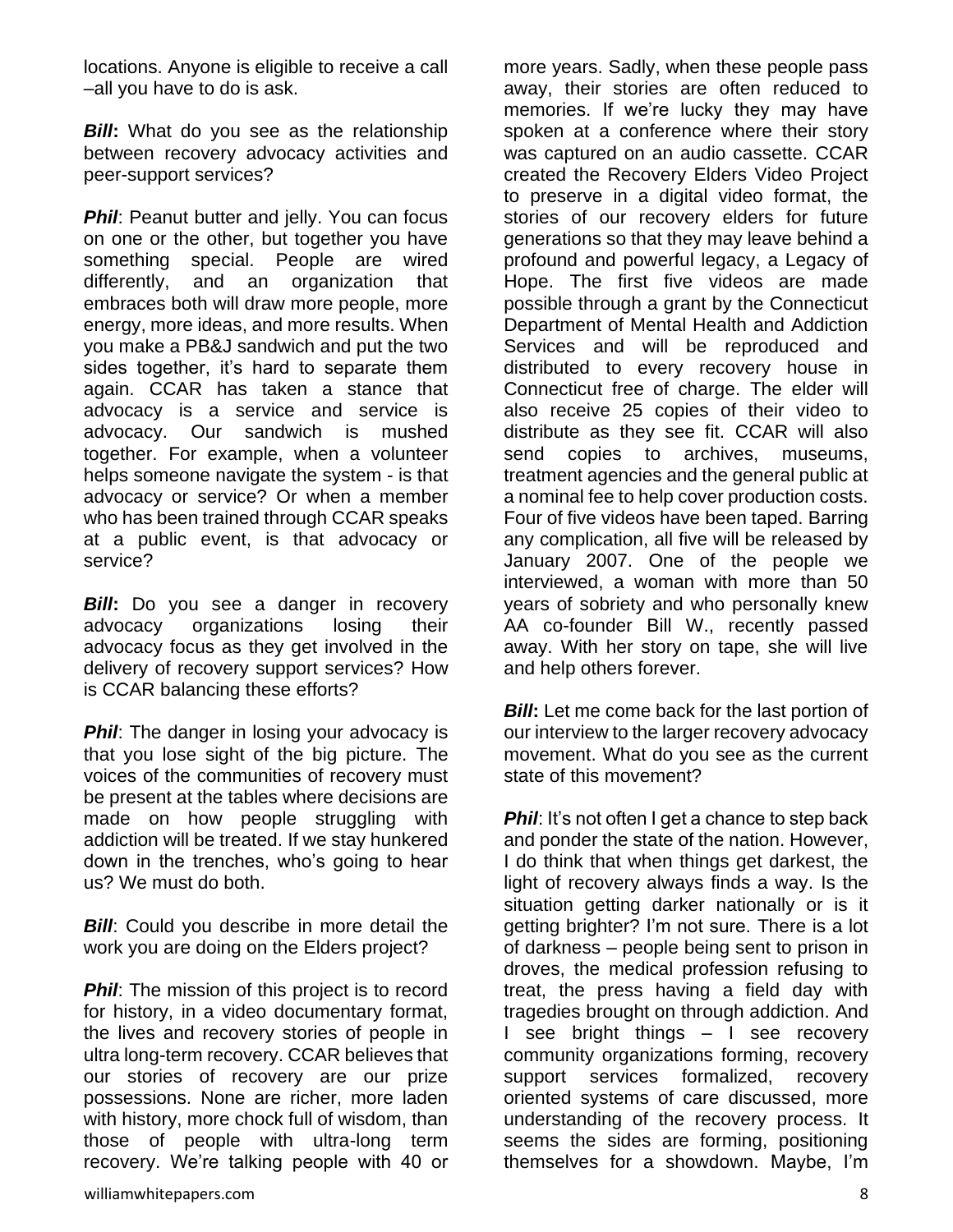locations. Anyone is eligible to receive a call –all you have to do is ask.

*Bill*: What do you see as the relationship between recovery advocacy activities and peer-support services?

**Phil:** Peanut butter and jelly. You can focus on one or the other, but together you have something special. People are wired differently, and an organization that embraces both will draw more people, more energy, more ideas, and more results. When you make a PB&J sandwich and put the two sides together, it's hard to separate them again. CCAR has taken a stance that advocacy is a service and service is advocacy. Our sandwich is mushed together. For example, when a volunteer helps someone navigate the system - is that advocacy or service? Or when a member who has been trained through CCAR speaks at a public event, is that advocacy or service?

*Bill***:** Do you see a danger in recovery advocacy organizations losing their advocacy focus as they get involved in the delivery of recovery support services? How is CCAR balancing these efforts?

**Phil**: The danger in losing your advocacy is that you lose sight of the big picture. The voices of the communities of recovery must be present at the tables where decisions are made on how people struggling with addiction will be treated. If we stay hunkered down in the trenches, who's going to hear us? We must do both.

*Bill*: Could you describe in more detail the work you are doing on the Elders project?

**Phil:** The mission of this project is to record for history, in a video documentary format, the lives and recovery stories of people in ultra long-term recovery. CCAR believes that our stories of recovery are our prize possessions. None are richer, more laden with history, more chock full of wisdom, than those of people with ultra-long term recovery. We're talking people with 40 or

more years. Sadly, when these people pass away, their stories are often reduced to memories. If we're lucky they may have spoken at a conference where their story was captured on an audio cassette. CCAR created the Recovery Elders Video Project to preserve in a digital video format, the stories of our recovery elders for future generations so that they may leave behind a profound and powerful legacy, a Legacy of Hope. The first five videos are made possible through a grant by the Connecticut Department of Mental Health and Addiction Services and will be reproduced and distributed to every recovery house in Connecticut free of charge. The elder will also receive 25 copies of their video to distribute as they see fit. CCAR will also send copies to archives, museums, treatment agencies and the general public at a nominal fee to help cover production costs. Four of five videos have been taped. Barring any complication, all five will be released by January 2007. One of the people we interviewed, a woman with more than 50 years of sobriety and who personally knew AA co-founder Bill W., recently passed away. With her story on tape, she will live and help others forever.

*Bill*: Let me come back for the last portion of our interview to the larger recovery advocacy movement. What do you see as the current state of this movement?

**Phil:** It's not often I get a chance to step back and ponder the state of the nation. However, I do think that when things get darkest, the light of recovery always finds a way. Is the situation getting darker nationally or is it getting brighter? I'm not sure. There is a lot of darkness – people being sent to prison in droves, the medical profession refusing to treat, the press having a field day with tragedies brought on through addiction. And I see bright things – I see recovery community organizations forming, recovery support services formalized, recovery oriented systems of care discussed, more understanding of the recovery process. It seems the sides are forming, positioning themselves for a showdown. Maybe, I'm